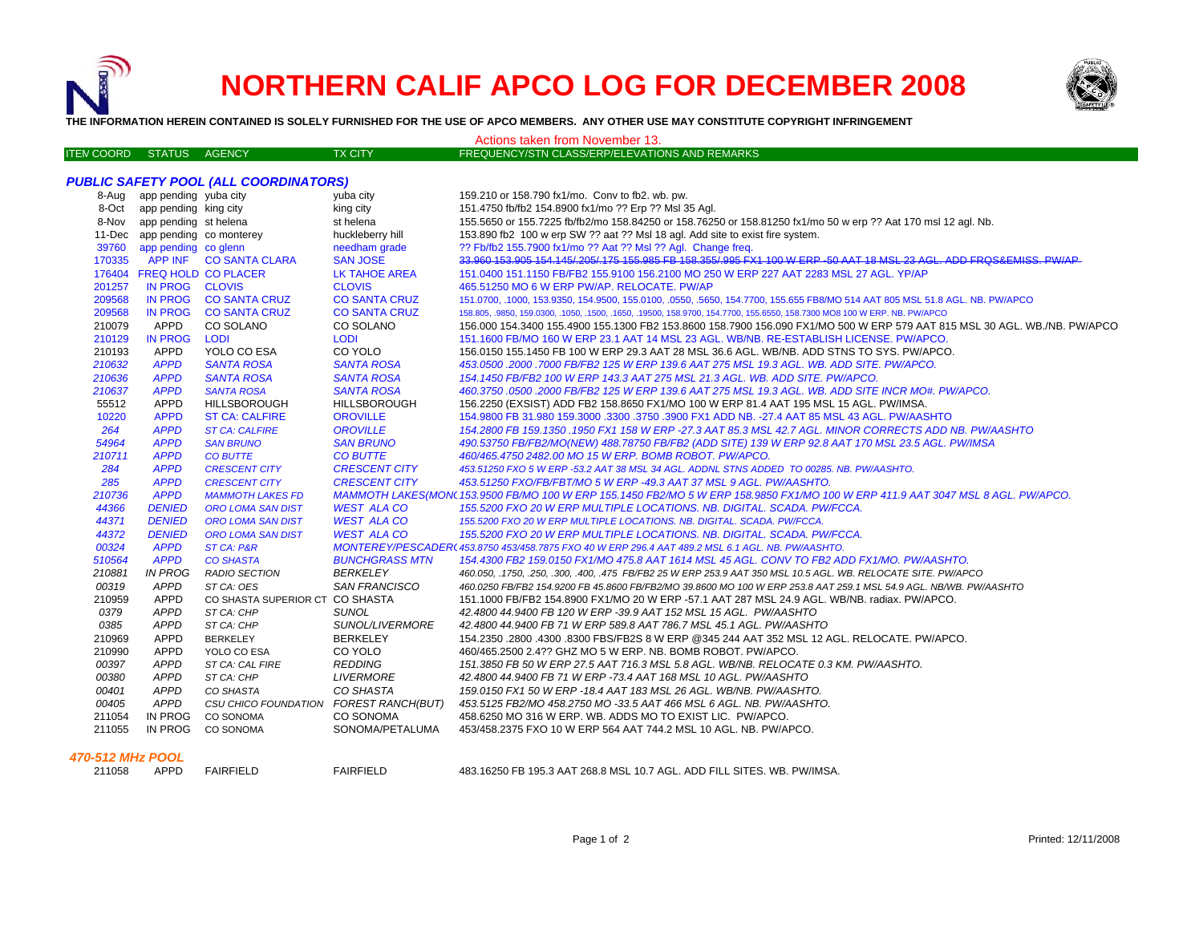

# **NORTHERN CALIF APCO LOG FOR DECEMBER 2008**



**THE INFORMATION HEREIN CONTAINED IS SOLELY FURNISHED FOR THE USE OF APCO MEMBERS. ANY OTHER USE MAY CONSTITUTE COPYRIGHT INFRINGEMENT**

| Actions taken from November 13.              |                                |                                        |                        |                                                                                                                                 |  |  |  |  |
|----------------------------------------------|--------------------------------|----------------------------------------|------------------------|---------------------------------------------------------------------------------------------------------------------------------|--|--|--|--|
| <b>ITEN COORD</b>                            | STATUS AGENCY                  |                                        | <b>TX CITY</b>         | FREQUENCY/STN CLASS/ERP/ELEVATIONS AND REMARKS                                                                                  |  |  |  |  |
|                                              |                                |                                        |                        |                                                                                                                                 |  |  |  |  |
| <b>PUBLIC SAFETY POOL (ALL COORDINATORS)</b> |                                |                                        |                        |                                                                                                                                 |  |  |  |  |
|                                              | 8-Aug app pending yuba city    |                                        | yuba city              | 159.210 or 158.790 fx1/mo. Conv to fb2, wb. pw.                                                                                 |  |  |  |  |
|                                              | 8-Oct app pending king city    |                                        | king city              | 151.4750 fb/fb2 154.8900 fx1/mo ?? Erp ?? Msl 35 Aql.                                                                           |  |  |  |  |
|                                              | 8-Nov app pending st helena    |                                        | st helena              | 155.5650 or 155.7225 fb/fb2/mo 158.84250 or 158.76250 or 158.81250 fx1/mo 50 w erp ?? Aat 170 msl 12 agl. Nb.                   |  |  |  |  |
|                                              | 11-Dec app pending co monterey |                                        | huckleberry hill       | 153.890 fb2 100 w erp SW ?? aat ?? MsI 18 agl. Add site to exist fire system.                                                   |  |  |  |  |
| 39760                                        | app pending co glenn           |                                        | needham grade          | ?? Fb/fb2 155.7900 fx1/mo ?? Aat ?? Msl ?? Agl. Change freq.                                                                    |  |  |  |  |
| 170335                                       |                                | APP INF CO SANTA CLARA                 | <b>SAN JOSE</b>        | 33.960 153.905 154.145/.205/.175 155.985 FB 158.355/.995 FX1 100 W ERP -50 AAT 18 MSL 23 AGL. ADD FRQS&EMISS. PW/AP             |  |  |  |  |
|                                              | 176404 FREQ HOLD CO PLACER     |                                        | LK TAHOE AREA          | 151.0400 151.1150 FB/FB2 155.9100 156.2100 MO 250 W ERP 227 AAT 2283 MSL 27 AGL. YP/AP                                          |  |  |  |  |
| 201257                                       | IN PROG CLOVIS                 |                                        | <b>CLOVIS</b>          | 465.51250 MO 6 W ERP PW/AP. RELOCATE, PW/AP                                                                                     |  |  |  |  |
| 209568                                       | <b>IN PROG</b>                 | <b>CO SANTA CRUZ</b>                   | <b>CO SANTA CRUZ</b>   | 151.0700, .1000, 153.9350, 154.9500, 155.0100, .0550, .5650, 154.7700, 155.655 FB8/MO 514 AAT 805 MSL 51.8 AGL. NB. PW/APCO     |  |  |  |  |
| 209568                                       | <b>IN PROG</b>                 | <b>CO SANTA CRUZ</b>                   | <b>CO SANTA CRUZ</b>   | 158.805, 9850, 159.0300, 1050, 1500, 1650, 19500, 158.9700, 154.7700, 155.6550, 158.7300 MO8 100 W ERP. NB. PW/APCO             |  |  |  |  |
| 210079                                       | APPD                           | CO SOLANO                              | CO SOLANO              | 156.000 154.3400 155.4900 155.1300 FB2 153.8600 158.7900 156.090 FX1/MO 500 W ERP 579 AAT 815 MSL 30 AGL. WB./NB. PW/APCO       |  |  |  |  |
| 210129                                       | <b>IN PROG</b>                 | <b>LODI</b>                            | <b>LODI</b>            | 151.1600 FB/MO 160 W ERP 23.1 AAT 14 MSL 23 AGL. WB/NB. RE-ESTABLISH LICENSE. PW/APCO.                                          |  |  |  |  |
| 210193                                       | APPD                           | YOLO CO ESA                            | CO YOLO                | 156.0150 155.1450 FB 100 W ERP 29.3 AAT 28 MSL 36.6 AGL. WB/NB. ADD STNS TO SYS. PW/APCO.                                       |  |  |  |  |
| 210632                                       | <b>APPD</b>                    | <b>SANTA ROSA</b>                      | <b>SANTA ROSA</b>      | 453.0500 .2000 .7000 FB/FB2 125 W ERP 139.6 AAT 275 MSL 19.3 AGL. WB. ADD SITE. PW/APCO.                                        |  |  |  |  |
| 210636                                       | <b>APPD</b>                    | <b>SANTA ROSA</b>                      | <b>SANTA ROSA</b>      | 154.1450 FB/FB2 100 W ERP 143.3 AAT 275 MSL 21.3 AGL. WB. ADD SITE. PW/APCO.                                                    |  |  |  |  |
| 210637                                       | <b>APPD</b>                    | <b>SANTA ROSA</b>                      | <b>SANTA ROSA</b>      | 460.3750 .0500 .2000 FB/FB2 125 W ERP 139.6 AAT 275 MSL 19.3 AGL. WB. ADD SITE INCR MO#. PW/APCO.                               |  |  |  |  |
| 55512                                        | APPD                           | <b>HILLSBOROUGH</b>                    | <b>HILLSBOROUGH</b>    | 156.2250 (EXSIST) ADD FB2 158.8650 FX1/MO 100 W ERP 81.4 AAT 195 MSL 15 AGL. PW/IMSA.                                           |  |  |  |  |
| 10220                                        | <b>APPD</b>                    | <b>ST CA: CALFIRE</b>                  | <b>OROVILLE</b>        | 154.9800 FB 31.980 159.3000 .3300 .3750 .3900 FX1 ADD NB. -27.4 AAT 85 MSL 43 AGL. PW/AASHTO                                    |  |  |  |  |
| 264                                          | <b>APPD</b>                    | <b>ST CA: CALFIRE</b>                  | <b>OROVILLE</b>        | 154.2800 FB 159.1350 .1950 FX1 158 W ERP -27.3 AAT 85.3 MSL 42.7 AGL. MINOR CORRECTS ADD NB. PW/AASHTO                          |  |  |  |  |
| 54964                                        | <b>APPD</b>                    | <b>SAN BRUNO</b>                       | <b>SAN BRUNO</b>       | 490.53750 FB/FB2/MO(NEW) 488.78750 FB/FB2 (ADD SITE) 139 W ERP 92.8 AAT 170 MSL 23.5 AGL. PW/IMSA                               |  |  |  |  |
| 210711                                       | <b>APPD</b>                    | <b>CO BUTTE</b>                        | <b>CO BUTTE</b>        | 460/465.4750 2482.00 MO 15 W ERP. BOMB ROBOT. PW/APCO.                                                                          |  |  |  |  |
| 284                                          | <b>APPD</b>                    | <b>CRESCENT CITY</b>                   | <b>CRESCENT CITY</b>   | 453.51250 FXO 5 W ERP -53.2 AAT 38 MSL 34 AGL. ADDNL STNS ADDED TO 00285. NB. PW/AASHTO.                                        |  |  |  |  |
| 285                                          | <b>APPD</b>                    | <b>CRESCENT CITY</b>                   | <b>CRESCENT CITY</b>   | 453.51250 FXO/FB/FBT/MO 5 W ERP -49.3 AAT 37 MSL 9 AGL. PW/AASHTO.                                                              |  |  |  |  |
| 210736                                       | <b>APPD</b>                    | <b>MAMMOTH LAKES FD</b>                |                        | MAMMOTH LAKES(MON(153.9500 FB/MO 100 W ERP 155.1450 FB2/MO 5 W ERP 158.9850 FX1/MO 100 W ERP 411.9 AAT 3047 MSL 8 AGL. PW/APCO. |  |  |  |  |
| 44366                                        | <b>DENIED</b>                  | <b>ORO LOMA SAN DIST</b>               | <b>WEST ALA CO</b>     | 155.5200 FXO 20 W ERP MULTIPLE LOCATIONS. NB. DIGITAL. SCADA. PW/FCCA.                                                          |  |  |  |  |
| 44371                                        | <b>DENIED</b>                  | <b>ORO LOMA SAN DIST</b>               | <b>WEST ALA CO</b>     | 155.5200 FXO 20 W ERP MULTIPLE LOCATIONS. NB. DIGITAL. SCADA. PW/FCCA.                                                          |  |  |  |  |
| 44372                                        | <b>DENIED</b>                  | <b>ORO LOMA SAN DIST</b>               | <b>WEST ALA CO</b>     | 155.5200 FXO 20 W ERP MULTIPLE LOCATIONS. NB. DIGITAL. SCADA. PW/FCCA.                                                          |  |  |  |  |
| 00324                                        | <b>APPD</b>                    | <b>ST CA: P&amp;R</b>                  |                        | MONTEREY/PESCADER(453.8750 453/458.7875 FXO 40 W ERP 296.4 AAT 489.2 MSL 6.1 AGL. NB. PW/AASHTO.                                |  |  |  |  |
| 510564                                       | <b>APPD</b>                    | <b>CO SHASTA</b>                       | <b>BUNCHGRASS MTN</b>  | 154.4300 FB2 159.0150 FX1/MO 475.8 AAT 1614 MSL 45 AGL. CONV TO FB2 ADD FX1/MO. PW/AASHTO.                                      |  |  |  |  |
| 210881                                       | <b>IN PROG</b>                 | <b>RADIO SECTION</b>                   | <b>BERKELEY</b>        | 460.050, .1750, .250, .300, .400, .475 FB/FB2 25 W ERP 253.9 AAT 350 MSL 10.5 AGL. WB. RELOCATE SITE. PW/APCO                   |  |  |  |  |
| 00319                                        | <b>APPD</b>                    | ST CA: OES                             | <b>SAN FRANCISCO</b>   | 460.0250 FB/FB2 154.9200 FB 45.8600 FB/FB2/MO 39.8600 MO 100 W ERP 253.8 AAT 259.1 MSL 54.9 AGL. NB/WB. PW/AASHTO               |  |  |  |  |
| 210959                                       | APPD                           | CO SHASTA SUPERIOR CT CO SHASTA        |                        | 151.1000 FB/FB2 154.8900 FX1/MO 20 W ERP -57.1 AAT 287 MSL 24.9 AGL. WB/NB. radiax. PW/APCO.                                    |  |  |  |  |
| 0379                                         | <b>APPD</b>                    | ST CA: CHP                             | <b>SUNOL</b>           | 42.4800 44.9400 FB 120 W ERP -39.9 AAT 152 MSL 15 AGL. PW/AASHTO                                                                |  |  |  |  |
| 0385                                         | <b>APPD</b>                    | ST CA: CHP                             | <b>SUNOL/LIVERMORE</b> | 42.4800 44.9400 FB 71 W ERP 589.8 AAT 786.7 MSL 45.1 AGL. PW/AASHTO                                                             |  |  |  |  |
| 210969                                       | APPD                           | <b>BERKELEY</b>                        | <b>BERKELEY</b>        | 154.2350 .2800 .4300 .8300 FBS/FB2S 8 W ERP @345 244 AAT 352 MSL 12 AGL. RELOCATE. PW/APCO.                                     |  |  |  |  |
| 210990                                       | APPD                           | YOLO CO ESA                            | CO YOLO                | 460/465.2500 2.4?? GHZ MO 5 W ERP. NB. BOMB ROBOT. PW/APCO.                                                                     |  |  |  |  |
| 00397                                        | <b>APPD</b>                    | ST CA: CAL FIRE                        | <b>REDDING</b>         | 151.3850 FB 50 W ERP 27.5 AAT 716.3 MSL 5.8 AGL. WB/NB. RELOCATE 0.3 KM. PW/AASHTO.                                             |  |  |  |  |
| 00380                                        | APPD                           | ST CA: CHP                             | <b>LIVERMORE</b>       | 42.4800 44.9400 FB 71 W ERP -73.4 AAT 168 MSL 10 AGL. PW/AASHTO                                                                 |  |  |  |  |
| 00401                                        | <b>APPD</b>                    | CO SHASTA                              | CO SHASTA              | 159.0150 FX1 50 W ERP -18.4 AAT 183 MSL 26 AGL. WB/NB. PW/AASHTO.                                                               |  |  |  |  |
| 00405                                        | APPD                           | CSU CHICO FOUNDATION FOREST RANCH(BUT) |                        | 453.5125 FB2/MO 458.2750 MO -33.5 AAT 466 MSL 6 AGL. NB. PW/AASHTO.                                                             |  |  |  |  |
| 211054                                       | IN PROG                        | <b>CO SONOMA</b>                       | <b>CO SONOMA</b>       | 458,6250 MO 316 W ERP, WB, ADDS MO TO EXIST LIC. PW/APCO.                                                                       |  |  |  |  |
| 211055                                       | IN PROG                        | CO SONOMA                              | SONOMA/PETALUMA        | 453/458.2375 FXO 10 W ERP 564 AAT 744.2 MSL 10 AGL. NB. PW/APCO.                                                                |  |  |  |  |
|                                              |                                |                                        |                        |                                                                                                                                 |  |  |  |  |

# *470-512 MHz POOL*

211058 APPD FAIRFIELD

211058 APPD FAIRFIELD FAIRFIELD 483.16250 FB 195.3 AAT 268.8 MSL 10.7 AGL. ADD FILL SITES. WB. PW/IMSA.